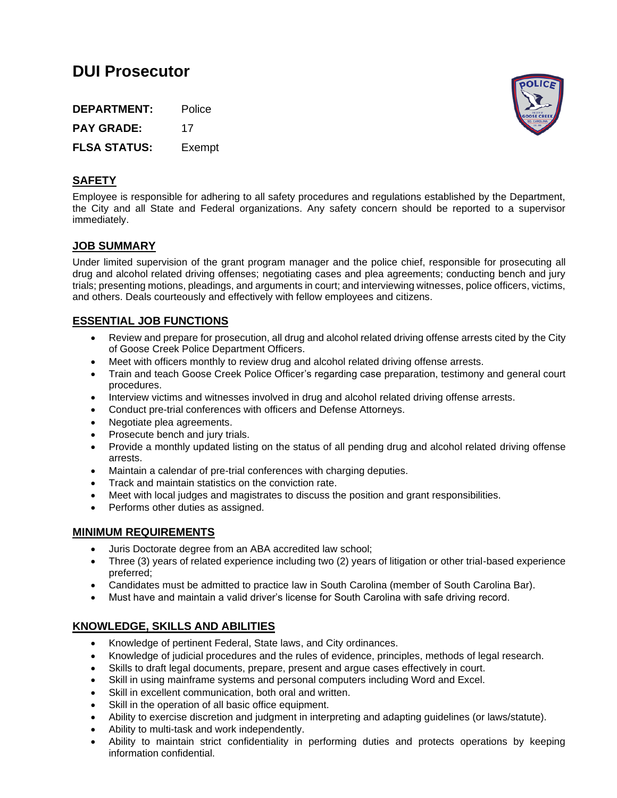# **DUI Prosecutor**

**DEPARTMENT:** Police PAY GRADE: 17 **FLSA STATUS:** Exempt



## **SAFETY**

Employee is responsible for adhering to all safety procedures and regulations established by the Department, the City and all State and Federal organizations. Any safety concern should be reported to a supervisor immediately.

## **JOB SUMMARY**

Under limited supervision of the grant program manager and the police chief, responsible for prosecuting all drug and alcohol related driving offenses; negotiating cases and plea agreements; conducting bench and jury trials; presenting motions, pleadings, and arguments in court; and interviewing witnesses, police officers, victims, and others. Deals courteously and effectively with fellow employees and citizens.

## **ESSENTIAL JOB FUNCTIONS**

- Review and prepare for prosecution, all drug and alcohol related driving offense arrests cited by the City of Goose Creek Police Department Officers.
- Meet with officers monthly to review drug and alcohol related driving offense arrests.
- Train and teach Goose Creek Police Officer's regarding case preparation, testimony and general court procedures.
- Interview victims and witnesses involved in drug and alcohol related driving offense arrests.
- Conduct pre-trial conferences with officers and Defense Attorneys.
- Negotiate plea agreements.
- Prosecute bench and jury trials.
- Provide a monthly updated listing on the status of all pending drug and alcohol related driving offense arrests.
- Maintain a calendar of pre-trial conferences with charging deputies.
- Track and maintain statistics on the conviction rate.
- Meet with local judges and magistrates to discuss the position and grant responsibilities.
- Performs other duties as assigned.

### **MINIMUM REQUIREMENTS**

- Juris Doctorate degree from an ABA accredited law school;
- Three (3) years of related experience including two (2) years of litigation or other trial-based experience preferred;
- Candidates must be admitted to practice law in South Carolina (member of South Carolina Bar).
- Must have and maintain a valid driver's license for South Carolina with safe driving record.

## **KNOWLEDGE, SKILLS AND ABILITIES**

- Knowledge of pertinent Federal, State laws, and City ordinances.
- Knowledge of judicial procedures and the rules of evidence, principles, methods of legal research.
- Skills to draft legal documents, prepare, present and argue cases effectively in court.
- Skill in using mainframe systems and personal computers including Word and Excel.
- Skill in excellent communication, both oral and written.
- Skill in the operation of all basic office equipment.
- Ability to exercise discretion and judgment in interpreting and adapting guidelines (or laws/statute).
- Ability to multi-task and work independently.
- Ability to maintain strict confidentiality in performing duties and protects operations by keeping information confidential.